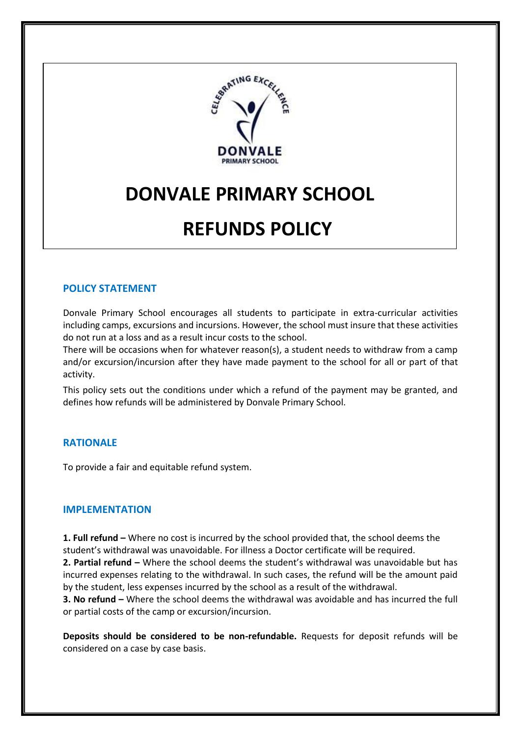

# **DONVALE PRIMARY SCHOOL**

## **REFUNDS POLICY**

## **POLICY STATEMENT**

Donvale Primary School encourages all students to participate in extra-curricular activities including camps, excursions and incursions. However, the school must insure that these activities do not run at a loss and as a result incur costs to the school.

There will be occasions when for whatever reason(s), a student needs to withdraw from a camp and/or excursion/incursion after they have made payment to the school for all or part of that activity.

This policy sets out the conditions under which a refund of the payment may be granted, and defines how refunds will be administered by Donvale Primary School.

## **RATIONALE**

To provide a fair and equitable refund system.

#### **IMPLEMENTATION**

**1. Full refund –** Where no cost is incurred by the school provided that, the school deems the student's withdrawal was unavoidable. For illness a Doctor certificate will be required.

**2. Partial refund –** Where the school deems the student's withdrawal was unavoidable but has incurred expenses relating to the withdrawal. In such cases, the refund will be the amount paid by the student, less expenses incurred by the school as a result of the withdrawal.

**3. No refund –** Where the school deems the withdrawal was avoidable and has incurred the full or partial costs of the camp or excursion/incursion.

**Deposits should be considered to be non-refundable.** Requests for deposit refunds will be considered on a case by case basis.